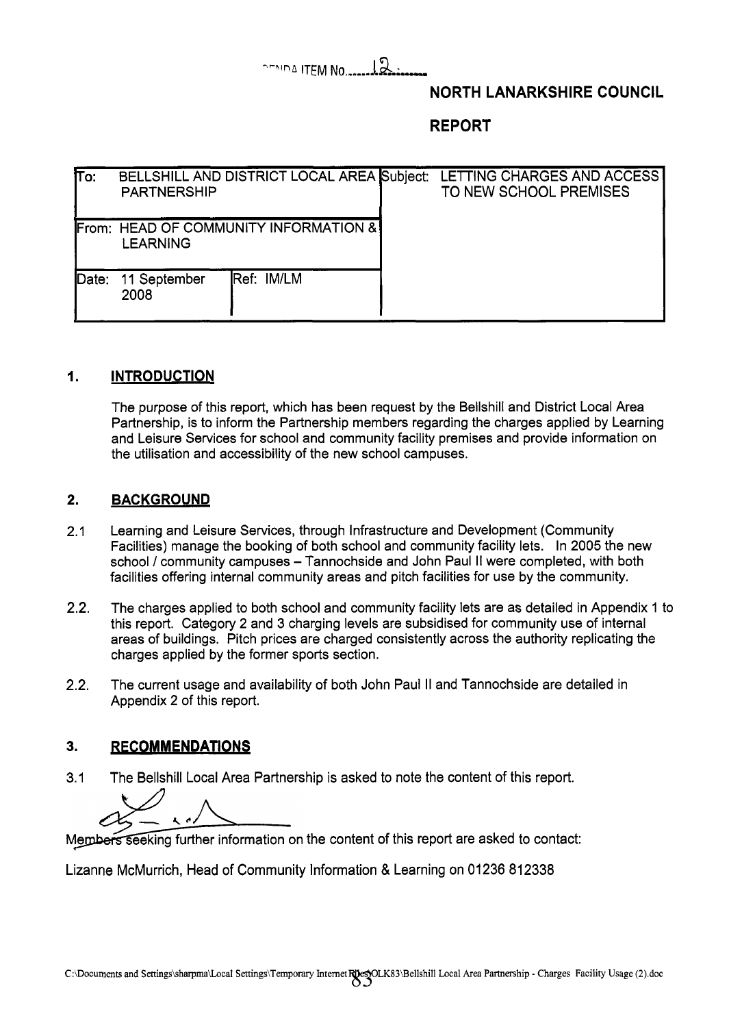## **"hind** ITEM **NO** .......& ;,,

## **NORTH LANARKSHIRE COUNCIL**

**REPORT** 

| lΤo:  | <b>PARTNERSHIP</b>   | BELLSHILL AND DISTRICT LOCAL AREA Subject: | LETTING CHARGES AND ACCESS<br>TO NEW SCHOOL PREMISES |
|-------|----------------------|--------------------------------------------|------------------------------------------------------|
|       | <b>LEARNING</b>      | From: HEAD OF COMMUNITY INFORMATION &      |                                                      |
| Date: | 11 September<br>2008 | <b>IRef: IM/LM</b>                         |                                                      |

#### **1. INTRODUCTION**

The purpose of this report, which has been request by the Bellshill and District Local Area Partnership, is to inform the Partnership members regarding the charges applied by Learning and Leisure Services for school and community facility premises and provide information on the utilisation and accessibility of the new school campuses.

#### **2. BACKGROUND**

- 2.1 Learning and Leisure Services, through Infrastructure and Development (Community Facilities) manage the booking of both school and community facility lets. In 2005 the new school / community campuses - Tannochside and John Paul II were completed, with both facilities offering internal community areas and pitch facilities for use by the community.
- 2.2. The charges applied to both school and community facility lets are as detailed in Appendix 1 to this report. Category 2 and 3 charging levels are subsidised for community use of internal areas of buildings. Pitch prices are charged consistently across the authority replicating the charges applied by the former sports section.
- 2.2. The current usage and availability of both John Paul II and Tannochside are detailed in Appendix 2 of this report.

#### **3. RECOMMENDATIONS**

3.1 The Bellshill Local Area Partnership is asked to note the content of this report.

Members seeking further information on the content of this report are asked to contact:

Lizanne McMurrich, Head of Community Information & Learning on 01236 812338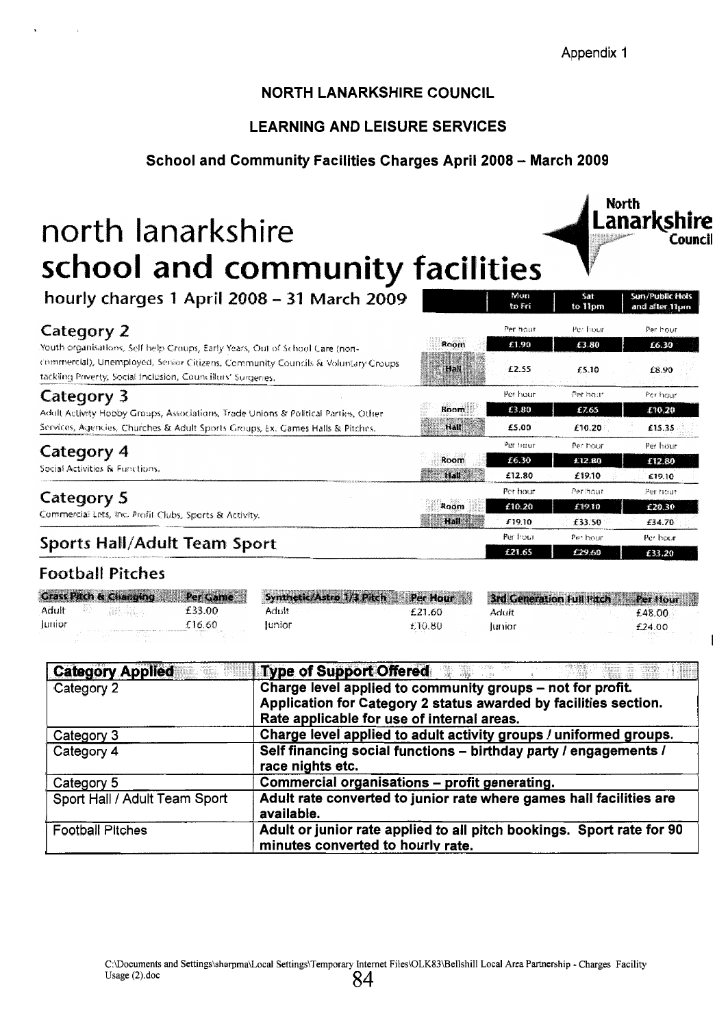Appendix 1

**Rorth**<br>**Lanarkshi** 

**Coluncfl** 

I

## NORTH LANARKSHIRE COUNCIL

## LEARNING AND LEISURE SERVICES

#### School and Community Facilities Charges April 2008 - March 2009

# north lanarkshire **school and community facilities**

| hourly charges 1 April 2008 - 31 March 2009                                                                                                    |             | Mon<br>to Fri     | Sat<br>to 11pm    | Sun/Public Hols<br>and after 11pm |
|------------------------------------------------------------------------------------------------------------------------------------------------|-------------|-------------------|-------------------|-----------------------------------|
| Category 2<br>Youth organisations, Self help Croups, Early Years, Out of School Care (non-                                                     | Room        | Per hour<br>£1.90 | Per hour<br>£3.80 | Per hour<br>16.30                 |
| commercial), Unemployed, Serior Citizens, Community Councils & Voluntary Groups<br>tackling Poverty, Social Inclusion, Councillurs' Surgeries, | Hall        | £2.55             | £5.10             | £8.90                             |
| Category 3                                                                                                                                     |             | Per hour          | Per hour          | Per hour                          |
| Adult Activity Hobby Groups, Associations, Trade Unions & Political Parties, Other                                                             | Room        | £3.80             | £7.65             | £10.20                            |
| Services, Agencies, Churches & Adult Sports Groups, Ex. Games Halls & Pitches.                                                                 | Hall        | £5.00             | £10.20            | £15.35                            |
| Category 4                                                                                                                                     |             | Per frour         | Per hour          | Per hour                          |
| Social Activities & Functions.                                                                                                                 | Room        | £6.30             | £12.80            | £12.80                            |
|                                                                                                                                                | <b>Hall</b> | £12.80            | £19.10            | £19.10                            |
| Category 5                                                                                                                                     |             | Per hour          | Per hour          | Per hour                          |
| Commercial Lets, Inc. Profit Clubs, Sports & Activity.                                                                                         | Room        | £10.20            | £19.10            | £20.30                            |
|                                                                                                                                                | Hall        | £19.10            | £33.50            | £34.70                            |
| Sports Hall/Adult Team Sport                                                                                                                   |             | Per hour          | Per hour          | Per hour                          |
|                                                                                                                                                |             | <b>£21.65</b>     | 120.00            | £23.30                            |

## **Football Pitches**

|        | <b>Grass Pitch &amp; Changing</b> | Per Game | Synthetic/Astro 1/3 Pitch | Per Hour |       | 3rd Generation Full Pitch Per Hour |          |
|--------|-----------------------------------|----------|---------------------------|----------|-------|------------------------------------|----------|
| Adult  | 그 책이 보였습니다.                       | £33.00   | Adult                     | £21.60   | Adult |                                    | £48.00 · |
| Junior |                                   | E16.60.  | lunior                    | \$10.80  | lumor |                                    | £24.00   |

| <b>Category Applied</b>       | <b>Type of Support Offered William</b>                                                                     |
|-------------------------------|------------------------------------------------------------------------------------------------------------|
| Category 2                    | Charge level applied to community groups - not for profit.                                                 |
|                               | Application for Category 2 status awarded by facilities section.                                           |
|                               | Rate applicable for use of internal areas.                                                                 |
| Category 3                    | Charge level applied to adult activity groups / uniformed groups.                                          |
| Category 4                    | Self financing social functions - birthday party / engagements /                                           |
|                               | race nights etc.                                                                                           |
| Category 5                    | Commercial organisations - profit generating.                                                              |
| Sport Hall / Adult Team Sport | Adult rate converted to junior rate where games hall facilities are<br>available.                          |
| <b>Football Pitches</b>       | Adult or junior rate applied to all pitch bookings. Sport rate for 90<br>minutes converted to hourly rate. |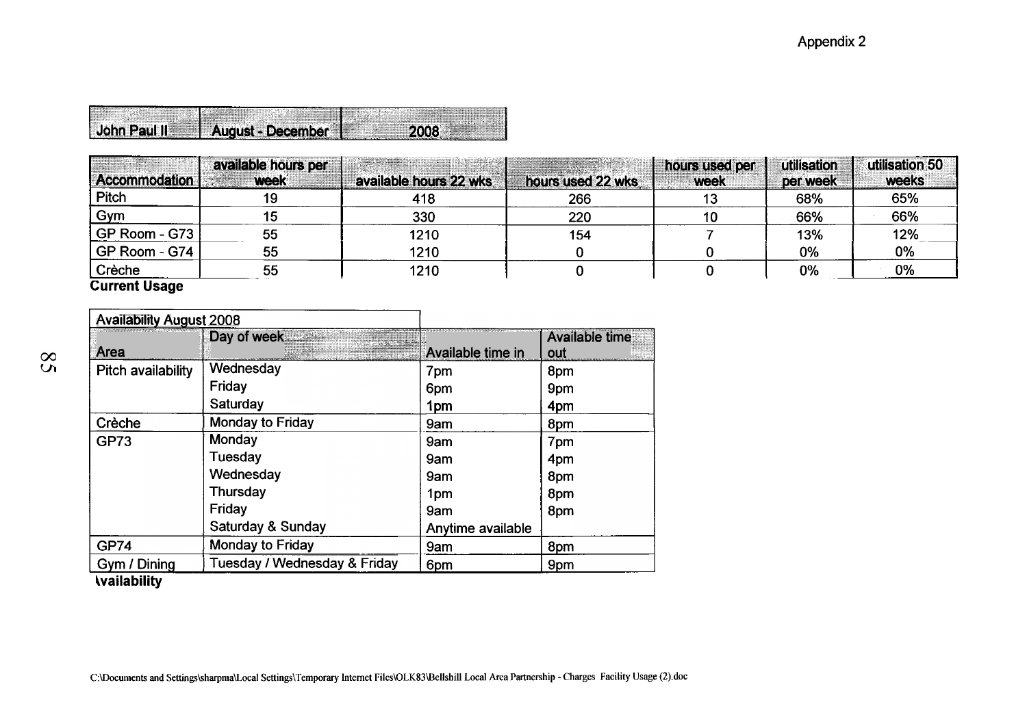| <br><b>John Paul II</b> | ------                                                          |  |
|-------------------------|-----------------------------------------------------------------|--|
|                         | Aliqust - December<br>$\sim$ $\sim$ $\sim$ $\sim$ $\sim$ $\sim$ |  |

|                                                                                                                                                                                    |                                                                       |                                                                                                                                                   |                                                |                                                            | Appendix 2                    |                            |  |
|------------------------------------------------------------------------------------------------------------------------------------------------------------------------------------|-----------------------------------------------------------------------|---------------------------------------------------------------------------------------------------------------------------------------------------|------------------------------------------------|------------------------------------------------------------|-------------------------------|----------------------------|--|
|                                                                                                                                                                                    |                                                                       |                                                                                                                                                   |                                                |                                                            |                               |                            |  |
|                                                                                                                                                                                    |                                                                       |                                                                                                                                                   |                                                |                                                            |                               |                            |  |
|                                                                                                                                                                                    | August - December<br>available hours per                              | 2008                                                                                                                                              |                                                | hours used per                                             | utilisation                   | utilisation 50             |  |
|                                                                                                                                                                                    | <b>week</b><br>19<br>15<br>55                                         | available hours 22 wks<br>418<br>330<br>1210                                                                                                      | hours used 22 wks<br>266<br>220<br>154         | week<br>13<br>10 <sub>1</sub><br>$\overline{7}$            | per week<br>68%<br>66%<br>13% | weeks<br>65%<br>66%<br>12% |  |
|                                                                                                                                                                                    | 55<br>55                                                              | 1210<br>1210                                                                                                                                      | $\mathbf{0}$<br>$\overline{\mathbf{0}}$<br>- 1 | $\bf{0}$<br>$\mathbf{0}$<br>$\blacksquare$<br>$\mathbf{I}$ | 0%<br>0%                      | $0\%$<br>$\overline{0\%}$  |  |
|                                                                                                                                                                                    | Day of week                                                           |                                                                                                                                                   | <b>Available time</b>                          |                                                            |                               |                            |  |
| John Paul II<br>Accommodation<br>Pitch<br>Gym<br>GP Room - G73<br>GP Room - G74<br>Crèche<br>Current Usage<br><b>Availability August 2008</b><br><b>Area</b><br>Pitch availability | Wednesday<br>Friday<br>Saturday                                       | Available time in<br>7pm<br>6pm<br>1pm                                                                                                            | out<br>8 <sub>pm</sub><br>9pm<br>4pm           |                                                            |                               |                            |  |
| Crèche<br> GP73                                                                                                                                                                    | <b>Monday to Friday</b><br>Monday<br><b>Tuesday</b>                   | 9am<br>$\sqrt{9}$ am<br>9am                                                                                                                       | 8 <sub>pm</sub><br>7 <sub>pm</sub><br>4pm      |                                                            |                               |                            |  |
|                                                                                                                                                                                    | Wednesday<br>Thursday<br>Friday                                       | $\vert$ 9am<br>1pm<br>9am                                                                                                                         | 8pm<br>8pm<br>8pm                              |                                                            |                               |                            |  |
|                                                                                                                                                                                    | Saturday & Sunday<br>Monday to Friday<br>Tuesday / Wednesday & Friday | Anytime available<br>$\sqrt{9}$ am<br>6 <sub>pm</sub>                                                                                             | 8pm<br>9pm                                     |                                                            |                               |                            |  |
|                                                                                                                                                                                    |                                                                       |                                                                                                                                                   |                                                |                                                            |                               |                            |  |
|                                                                                                                                                                                    |                                                                       | C:\Documents and Settings\sharpma\Local Settings\Temporary Internet Files\OLK83\Bellshill Local Area Partnership - Charges Facility Usage (2).doc |                                                |                                                            |                               |                            |  |
| GP74<br>Gym / Dining<br><b>Vailability</b>                                                                                                                                         |                                                                       |                                                                                                                                                   |                                                |                                                            |                               |                            |  |
|                                                                                                                                                                                    |                                                                       |                                                                                                                                                   |                                                |                                                            |                               |                            |  |

 $\overline{S}8$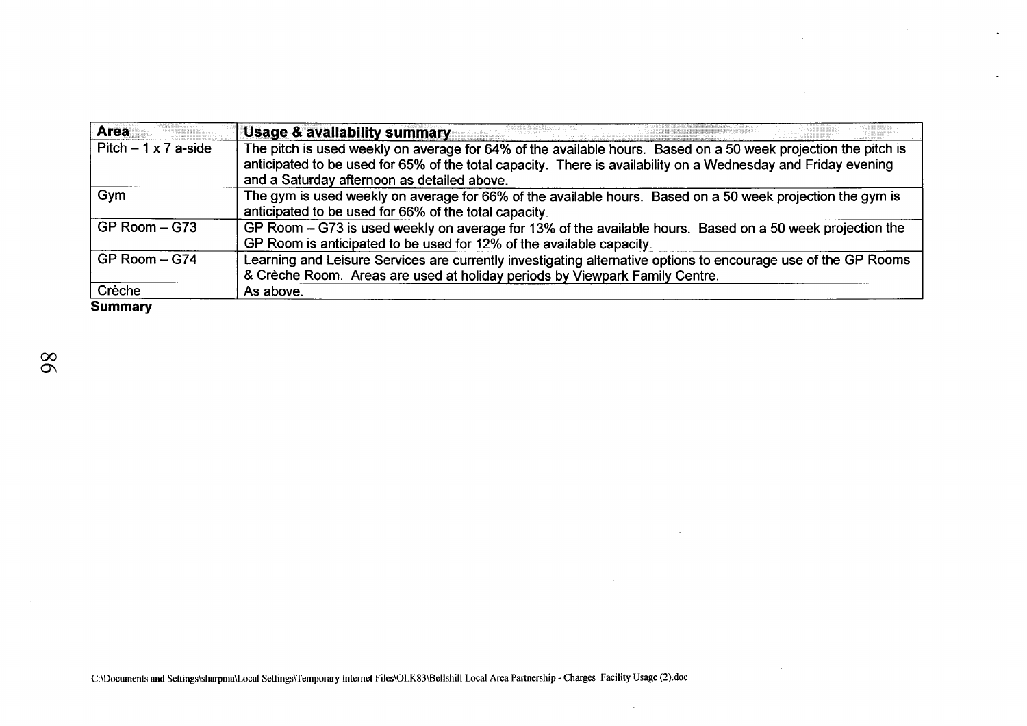| <b>Area</b>                | <b>Usage &amp; availability summary</b>                                                                        |
|----------------------------|----------------------------------------------------------------------------------------------------------------|
| Pitch $-1 \times 7$ a-side | The pitch is used weekly on average for 64% of the available hours. Based on a 50 week projection the pitch is |
|                            | anticipated to be used for 65% of the total capacity. There is availability on a Wednesday and Friday evening  |
|                            | and a Saturday afternoon as detailed above.                                                                    |
| Gym                        | The gym is used weekly on average for 66% of the available hours. Based on a 50 week projection the gym is     |
|                            | anticipated to be used for 66% of the total capacity.                                                          |
| $GP$ Room $-$ G73          | GP Room – G73 is used weekly on average for 13% of the available hours. Based on a 50 week projection the      |
|                            | GP Room is anticipated to be used for 12% of the available capacity.                                           |
| GP Room - G74              | Learning and Leisure Services are currently investigating alternative options to encourage use of the GP Rooms |
|                            | & Crèche Room. Areas are used at holiday periods by Viewpark Family Centre.                                    |
| Crèche                     | As above.                                                                                                      |
| <b>Summary</b>             |                                                                                                                |

 $\sim 10^{-1}$ 

 $\label{eq:2.1} \frac{1}{\sqrt{2\pi}}\int_{0}^{\infty}\frac{1}{\sqrt{2\pi}}\left(\frac{1}{\sqrt{2\pi}}\right)^{2\alpha} \frac{1}{\sqrt{2\pi}}\int_{0}^{\infty}\frac{1}{\sqrt{2\pi}}\frac{1}{\sqrt{2\pi}}\frac{1}{\sqrt{2\pi}}\frac{1}{\sqrt{2\pi}}\frac{1}{\sqrt{2\pi}}\frac{1}{\sqrt{2\pi}}\frac{1}{\sqrt{2\pi}}\frac{1}{\sqrt{2\pi}}\frac{1}{\sqrt{2\pi}}\frac{1}{\sqrt{2\pi}}\frac{1}{\sqrt{2\pi}}\frac{$ 

 $\sim$ 

 $\mathcal{L}$ 

**Summary**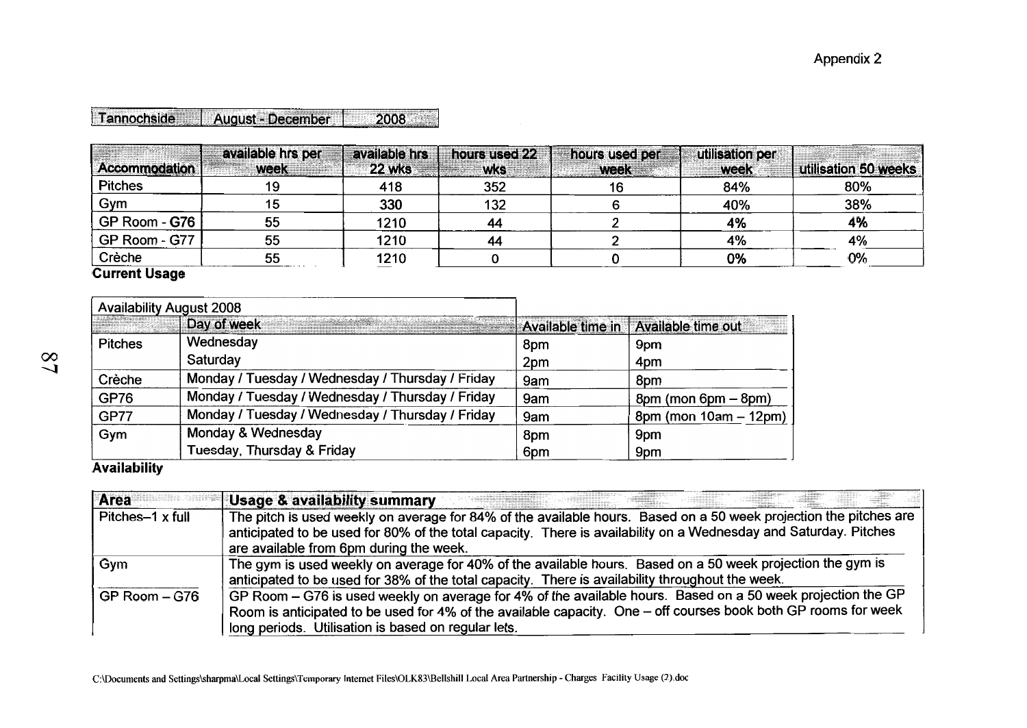| <b>fannochside   August - December</b> |  |  |
|----------------------------------------|--|--|
|                                        |  |  |
|                                        |  |  |

| <b>Accommodation</b>       | available hrs per<br><b>week</b> | available hrs<br>22 wks | hours used 22<br><b>wks</b> | hours used per<br><b>Week</b> | utilisation per<br><b>week</b> | utilisation 50 weeks |
|----------------------------|----------------------------------|-------------------------|-----------------------------|-------------------------------|--------------------------------|----------------------|
| <b>Pitches</b>             |                                  | 418                     | 352                         | 16                            | 84%                            | 80%                  |
| Gym                        |                                  | 330                     | 132                         |                               | 40%                            | 38%                  |
| GP Room - G76 <sup>1</sup> | 55                               | 1210                    | 44                          |                               | 4%                             | 4%                   |
| GP Room - G77              | 55                               | 1210                    | 44                          |                               | 4%                             | 4%                   |
| Crèche<br>.                | 55                               | 1210                    |                             |                               | 0%                             | 0%                   |

**Current Usage** 

|                | <b>Availability August 2008</b>                  |     |                                        |
|----------------|--------------------------------------------------|-----|----------------------------------------|
|                | Day of week                                      |     | Available time in   Available time out |
| <b>Pitches</b> | Wednesday                                        | 8pm | 9pm                                    |
|                | Saturday                                         | 2pm | 4pm                                    |
| Crèche         | Monday / Tuesday / Wednesday / Thursday / Friday | 9am | 8pm                                    |
| <b>GP76</b>    | Monday / Tuesday / Wednesday / Thursday / Friday | 9am | $8pm (mon 6pm - 8pm)$                  |
| <b>GP77</b>    | Monday / Tuesday / Wednesday / Thursday / Friday | 9am | 8pm (mon 10am - 12pm)                  |
| Gym            | Monday & Wednesday                               | 8pm | 9pm                                    |
|                | Tuesday, Thursday & Friday                       | 6pm | 9pm                                    |

**Availability** 

| Area             | <b>Usage &amp; availability summary</b>                                                                                                                                                                                                                                              |
|------------------|--------------------------------------------------------------------------------------------------------------------------------------------------------------------------------------------------------------------------------------------------------------------------------------|
| Pitches-1 x full | The pitch is used weekly on average for 84% of the available hours. Based on a 50 week projection the pitches are<br>anticipated to be used for 80% of the total capacity. There is availability on a Wednesday and Saturday. Pitches<br>are available from 6pm during the week.     |
| Gym              | The gym is used weekly on average for 40% of the available hours. Based on a 50 week projection the gym is<br>anticipated to be used for 38% of the total capacity. There is availability throughout the week.                                                                       |
| GP Room - G76    | GP Room – G76 is used weekly on average for 4% of the available hours. Based on a 50 week projection the GP<br>Room is anticipated to be used for 4% of the available capacity. One – off courses book both GP rooms for week<br>long periods. Utilisation is based on regular lets. |